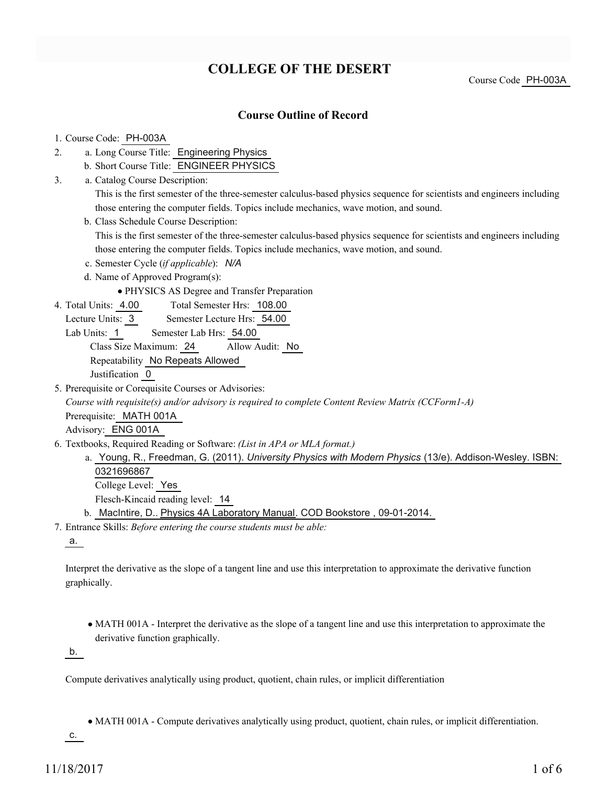# **COLLEGE OF THE DESERT**

Course Code PH-003A

## **Course Outline of Record**

#### 1. Course Code: PH-003A

- a. Long Course Title: Engineering Physics 2.
	- b. Short Course Title: ENGINEER PHYSICS
- Catalog Course Description: a. 3.

This is the first semester of the three-semester calculus-based physics sequence for scientists and engineers including those entering the computer fields. Topics include mechanics, wave motion, and sound.

b. Class Schedule Course Description:

This is the first semester of the three-semester calculus-based physics sequence for scientists and engineers including those entering the computer fields. Topics include mechanics, wave motion, and sound.

- c. Semester Cycle (*if applicable*): *N/A*
- d. Name of Approved Program(s):
	- PHYSICS AS Degree and Transfer Preparation
- Total Semester Hrs: 108.00 4. Total Units: 4.00
	- Lecture Units: 3 Semester Lecture Hrs: 54.00
	- Lab Units: 1 Semester Lab Hrs: 54.00

Class Size Maximum: 24 Allow Audit: No

Repeatability No Repeats Allowed

Justification 0

5. Prerequisite or Corequisite Courses or Advisories:

*Course with requisite(s) and/or advisory is required to complete Content Review Matrix (CCForm1-A)*

Prerequisite: MATH 001A

Advisory: ENG 001A

- Textbooks, Required Reading or Software: *(List in APA or MLA format.)* 6.
	- a. Young, R., Freedman, G. (2011). *University Physics with Modern Physics* (13/e). Addison-Wesley. ISBN: 0321696867 College Level: Yes

Flesch-Kincaid reading level: 14

b. MacIntire, D.. Physics 4A Laboratory Manual. COD Bookstore, 09-01-2014.

Entrance Skills: *Before entering the course students must be able:* 7.

a.

Interpret the derivative as the slope of a tangent line and use this interpretation to approximate the derivative function graphically.

MATH 001A - Interpret the derivative as the slope of a tangent line and use this interpretation to approximate the derivative function graphically.

b.

Compute derivatives analytically using product, quotient, chain rules, or implicit differentiation

MATH 001A - Compute derivatives analytically using product, quotient, chain rules, or implicit differentiation.

c.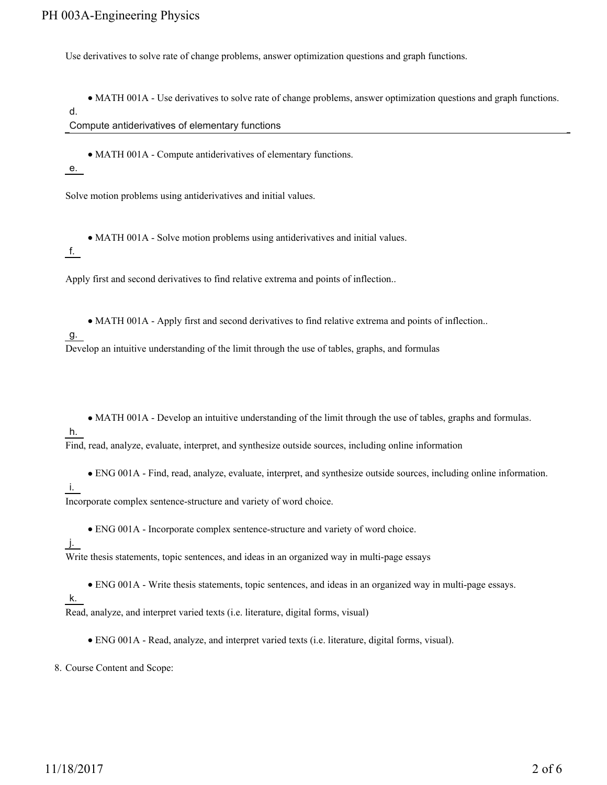Use derivatives to solve rate of change problems, answer optimization questions and graph functions.

MATH 001A - Use derivatives to solve rate of change problems, answer optimization questions and graph functions.

d.

Compute antiderivatives of elementary functions

• MATH 001A - Compute antiderivatives of elementary functions.

e.

Solve motion problems using antiderivatives and initial values.

MATH 001A - Solve motion problems using antiderivatives and initial values.

f.

Apply first and second derivatives to find relative extrema and points of inflection..

MATH 001A - Apply first and second derivatives to find relative extrema and points of inflection..

g.

Develop an intuitive understanding of the limit through the use of tables, graphs, and formulas

MATH 001A - Develop an intuitive understanding of the limit through the use of tables, graphs and formulas.

h.

Find, read, analyze, evaluate, interpret, and synthesize outside sources, including online information

ENG 001A - Find, read, analyze, evaluate, interpret, and synthesize outside sources, including online information.

### i.

Incorporate complex sentence-structure and variety of word choice.

ENG 001A - Incorporate complex sentence-structure and variety of word choice.

j.

Write thesis statements, topic sentences, and ideas in an organized way in multi-page essays

- ENG 001A Write thesis statements, topic sentences, and ideas in an organized way in multi-page essays.
- k.

Read, analyze, and interpret varied texts (i.e. literature, digital forms, visual)

ENG 001A - Read, analyze, and interpret varied texts (i.e. literature, digital forms, visual).

8. Course Content and Scope: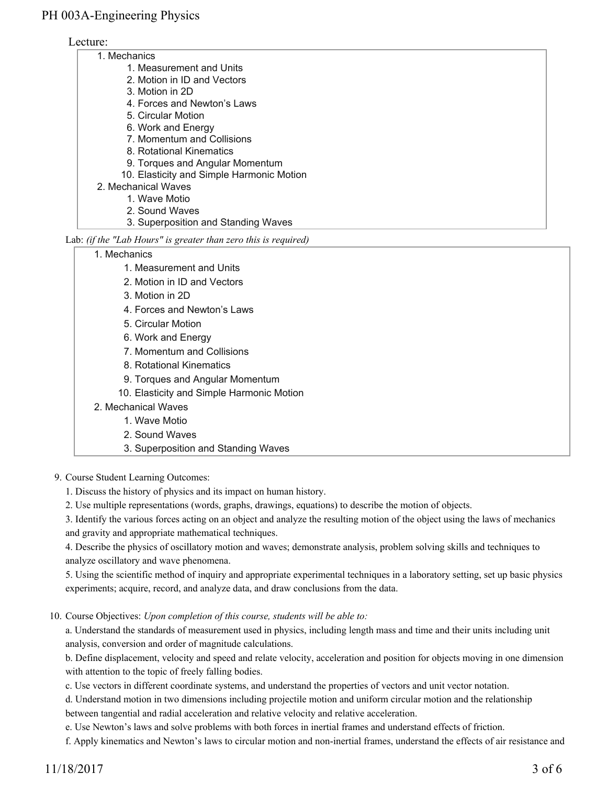#### Lecture:

| 1. Mechanics                              |  |
|-------------------------------------------|--|
| 1. Measurement and Units                  |  |
| 2. Motion in ID and Vectors               |  |
| 3. Motion in 2D                           |  |
| 4. Forces and Newton's Laws               |  |
| 5. Circular Motion                        |  |
| 6. Work and Energy                        |  |
| 7. Momentum and Collisions                |  |
| 8. Rotational Kinematics                  |  |
| 9. Torques and Angular Momentum           |  |
| 10. Elasticity and Simple Harmonic Motion |  |
| 2. Mechanical Waves                       |  |
| 1. Wave Motio                             |  |
| 2. Sound Waves                            |  |
| 3. Superposition and Standing Waves       |  |
|                                           |  |

#### Lab: *(if the "Lab Hours" is greater than zero this is required)*

#### 1. Mechanics

- 1. Measurement and Units
- 2. Motion in ID and Vectors
- 3. Motion in 2D
- 4. Forces and Newton's Laws
- 5. Circular Motion
- 6. Work and Energy
- 7. Momentum and Collisions
- 8. Rotational Kinematics
- 9. Torques and Angular Momentum
- 10. Elasticity and Simple Harmonic Motion
- 2. Mechanical Waves
	- 1. Wave Motio
		- 2. Sound Waves
		- 3. Superposition and Standing Waves
- 9. Course Student Learning Outcomes:
	- 1. Discuss the history of physics and its impact on human history.
	- 2. Use multiple representations (words, graphs, drawings, equations) to describe the motion of objects.

3. Identify the various forces acting on an object and analyze the resulting motion of the object using the laws of mechanics and gravity and appropriate mathematical techniques.

4. Describe the physics of oscillatory motion and waves; demonstrate analysis, problem solving skills and techniques to analyze oscillatory and wave phenomena.

5. Using the scientific method of inquiry and appropriate experimental techniques in a laboratory setting, set up basic physics experiments; acquire, record, and analyze data, and draw conclusions from the data.

10. Course Objectives: Upon completion of this course, students will be able to:

a. Understand the standards of measurement used in physics, including length mass and time and their units including unit analysis, conversion and order of magnitude calculations.

b. Define displacement, velocity and speed and relate velocity, acceleration and position for objects moving in one dimension with attention to the topic of freely falling bodies.

c. Use vectors in different coordinate systems, and understand the properties of vectors and unit vector notation.

d. Understand motion in two dimensions including projectile motion and uniform circular motion and the relationship between tangential and radial acceleration and relative velocity and relative acceleration.

e. Use Newton's laws and solve problems with both forces in inertial frames and understand effects of friction.

f. Apply kinematics and Newton's laws to circular motion and non-inertial frames, understand the effects of air resistance and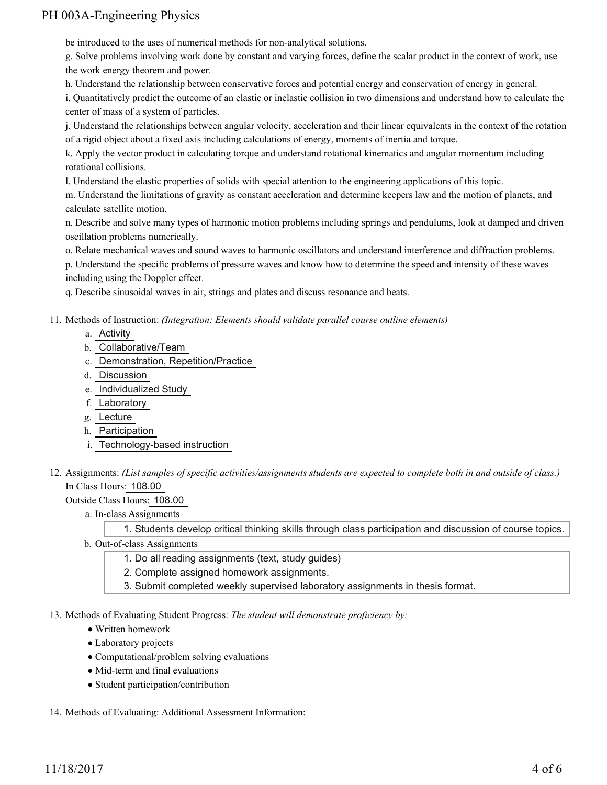be introduced to the uses of numerical methods for non-analytical solutions.

g. Solve problems involving work done by constant and varying forces, define the scalar product in the context of work, use the work energy theorem and power.

h. Understand the relationship between conservative forces and potential energy and conservation of energy in general.

i. Quantitatively predict the outcome of an elastic or inelastic collision in two dimensions and understand how to calculate the center of mass of a system of particles.

j. Understand the relationships between angular velocity, acceleration and their linear equivalents in the context of the rotation of a rigid object about a fixed axis including calculations of energy, moments of inertia and torque.

k. Apply the vector product in calculating torque and understand rotational kinematics and angular momentum including rotational collisions.

l. Understand the elastic properties of solids with special attention to the engineering applications of this topic.

m. Understand the limitations of gravity as constant acceleration and determine keepers law and the motion of planets, and calculate satellite motion.

n. Describe and solve many types of harmonic motion problems including springs and pendulums, look at damped and driven oscillation problems numerically.

o. Relate mechanical waves and sound waves to harmonic oscillators and understand interference and diffraction problems.

p. Understand the specific problems of pressure waves and know how to determine the speed and intensity of these waves including using the Doppler effect.

q. Describe sinusoidal waves in air, strings and plates and discuss resonance and beats.

Methods of Instruction: *(Integration: Elements should validate parallel course outline elements)* 11.

- a. Activity
- b. Collaborative/Team
- c. Demonstration, Repetition/Practice
- d. Discussion
- e. Individualized Study
- f. Laboratory
- g. Lecture
- h. Participation
- i. Technology-based instruction
- 12. Assignments: (List samples of specific activities/assignments students are expected to complete both in and outside of class.) In Class Hours: 108.00

Outside Class Hours: 108.00

a. In-class Assignments

1. Students develop critical thinking skills through class participation and discussion of course topics.

- b. Out-of-class Assignments
	- 1. Do all reading assignments (text, study guides)
	- 2. Complete assigned homework assignments.
	- 3. Submit completed weekly supervised laboratory assignments in thesis format.

13. Methods of Evaluating Student Progress: The student will demonstrate proficiency by:

- Written homework
- Laboratory projects
- Computational/problem solving evaluations
- Mid-term and final evaluations
- Student participation/contribution
- 14. Methods of Evaluating: Additional Assessment Information: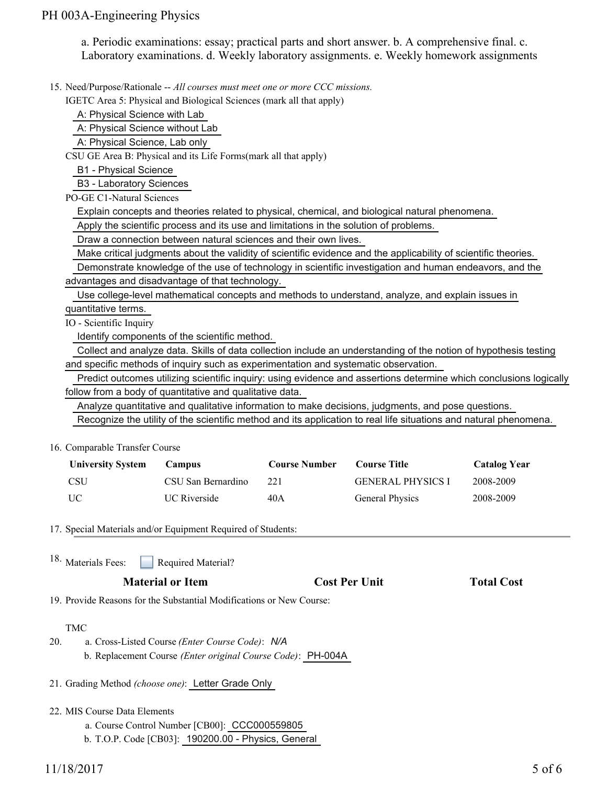a. Periodic examinations: essay; practical parts and short answer. b. A comprehensive final. c. Laboratory examinations. d. Weekly laboratory assignments. e. Weekly homework assignments

15. Need/Purpose/Rationale -- All courses must meet one or more CCC missions.

IGETC Area 5: Physical and Biological Sciences (mark all that apply)

A: Physical Science with Lab

A: Physical Science without Lab

A: Physical Science, Lab only

CSU GE Area B: Physical and its Life Forms(mark all that apply)

B1 - Physical Science

B3 - Laboratory Sciences

PO-GE C1-Natural Sciences

Explain concepts and theories related to physical, chemical, and biological natural phenomena.

Apply the scientific process and its use and limitations in the solution of problems.

Draw a connection between natural sciences and their own lives.

Make critical judgments about the validity of scientific evidence and the applicability of scientific theories.

 Demonstrate knowledge of the use of technology in scientific investigation and human endeavors, and the advantages and disadvantage of that technology.

Use college-level mathematical concepts and methods to understand, analyze, and explain issues in

quantitative terms.

IO - Scientific Inquiry

Identify components of the scientific method.

 Collect and analyze data. Skills of data collection include an understanding of the notion of hypothesis testing and specific methods of inquiry such as experimentation and systematic observation.

 Predict outcomes utilizing scientific inquiry: using evidence and assertions determine which conclusions logically follow from a body of quantitative and qualitative data.

Analyze quantitative and qualitative information to make decisions, judgments, and pose questions.

Recognize the utility of the scientific method and its application to real life situations and natural phenomena.

16. Comparable Transfer Course

| <b>University System</b> | Campus              | <b>Course Number</b> | Course Title             | <b>Catalog Year</b> |
|--------------------------|---------------------|----------------------|--------------------------|---------------------|
| <b>CSU</b>               | CSU San Bernardino  | 221                  | <b>GENERAL PHYSICS I</b> | 2008-2009           |
| UC.                      | <b>UC</b> Riverside | 40A                  | <b>General Physics</b>   | 2008-2009           |

17. Special Materials and/or Equipment Required of Students:

Required Material? <sup>18.</sup> Materials Fees:

| <b>Material or Item</b> | <b>Cost Per Unit</b> | <b>Total Cost</b> |
|-------------------------|----------------------|-------------------|
|                         |                      |                   |

19. Provide Reasons for the Substantial Modifications or New Course:

#### TMC

- a. Cross-Listed Course *(Enter Course Code)*: *N/A* b. Replacement Course *(Enter original Course Code)*: PH-004A 20.
- 21. Grading Method *(choose one)*: Letter Grade Only
- 22. MIS Course Data Elements
	- a. Course Control Number [CB00]: CCC000559805
	- b. T.O.P. Code [CB03]: 190200.00 Physics, General